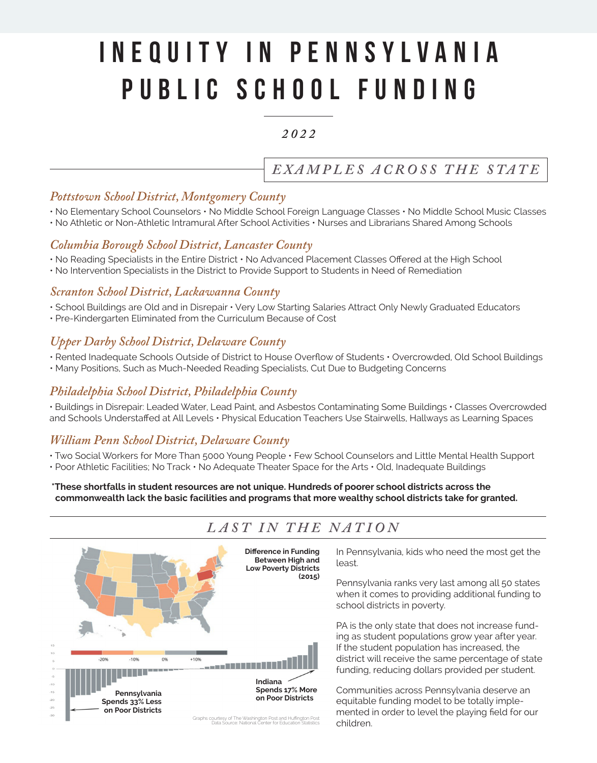# Inequity IN PENNSYLVANIA Public School Funding

### *2 0 2 2*

# *E XA M PL ES AC RO S S T H E STAT E*

#### *Pottstown School District, Montgomery County*

- No Elementary School Counselors No Middle School Foreign Language Classes No Middle School Music Classes
- No Athletic or Non-Athletic Intramural After School Activities Nurses and Librarians Shared Among Schools

#### *Columbia Borough School District, Lancaster County*

- No Reading Specialists in the Entire District No Advanced Placement Classes Offered at the High School
- No Intervention Specialists in the District to Provide Support to Students in Need of Remediation

#### *Scranton School District, Lackawanna County*

- School Buildings are Old and in Disrepair Very Low Starting Salaries Attract Only Newly Graduated Educators
- Pre-Kindergarten Eliminated from the Curriculum Because of Cost

#### *Upper Darby School District, Delaware County*

- Rented Inadequate Schools Outside of District to House Overflow of Students Overcrowded, Old School Buildings
- Many Positions, Such as Much-Needed Reading Specialists, Cut Due to Budgeting Concerns

#### *Philadelphia School District, Philadelphia County*

• Buildings in Disrepair: Leaded Water, Lead Paint, and Asbestos Contaminating Some Buildings • Classes Overcrowded and Schools Understaffed at All Levels • Physical Education Teachers Use Stairwells, Hallways as Learning Spaces

## *William Penn School District, Delaware County*

- Two Social Workers for More Than 5000 Young People Few School Counselors and Little Mental Health Support
- Poor Athletic Facilities; No Track No Adequate Theater Space for the Arts Old, Inadequate Buildings

**\*These shortfalls in student resources are not unique. Hundreds of poorer school districts across the commonwealth lack the basic facilities and programs that more wealthy school districts take for granted.**

# *LAST IN THE NATION*



In Pennsylvania, kids who need the most get the least.

Pennsylvania ranks very last among all 50 states when it comes to providing additional funding to school districts in poverty.

PA is the only state that does not increase funding as student populations grow year after year. If the student population has increased, the district will receive the same percentage of state funding, reducing dollars provided per student.

Communities across Pennsylvania deserve an equitable funding model to be totally implemented in order to level the playing field for our children.